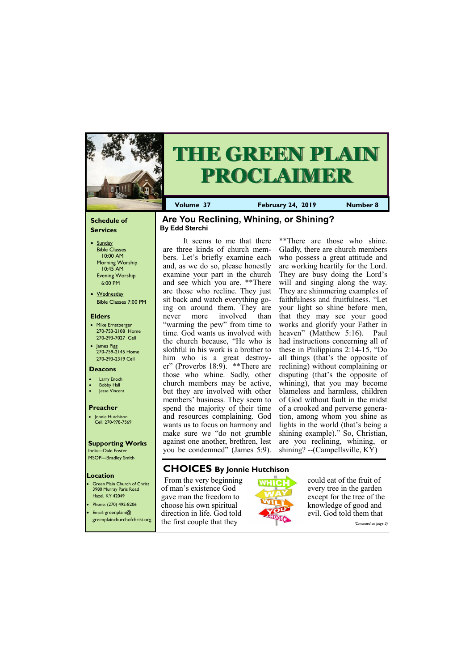# **Schedule of Services**

- Sunday Bible Classes 10:00 AM Morning Worship 10:45 AM Evening Worship 6:00 PM
- Wednesday Bible Classes 7:00 PM

### **Elders**

**Green Plain Church of Christ** 3980 Murray Paris Road Hazel, KY 42049 • Phone: (270) 492-8206

- Mike Ernstberger 270-753-2108 Home 270-293-7027 Cell
- James Pigg 270-759-2145 Home 270-293-2319 Cell

### **Location**

• Email: greenplain@ greenplainchurchofchrist.org







**Volume 37 February 24, 2019 Number 8**

#### **Deacons**

- **Larry Enoch**
- **Bobby Hall**
- Jesse Vincent

# **Preacher**

• Jonnie Hutchison Cell: 270-978-7569

# **Supporting Works**

India—Dale Foster MSOP—Bradley Smith

# **Are You Reclining, Whining, or Shining? By Edd Sterchi**

It seems to me that there are three kinds of church members. Let's briefly examine each and, as we do so, please honestly examine your part in the church and see which you are. \*\*There are those who recline. They just sit back and watch everything going on around them. They are never more involved than "warming the pew" from time to time. God wants us involved with the church because, "He who is slothful in his work is a brother to him who is a great destroyer" (Proverbs 18:9). \*\*There are those who whine. Sadly, other church members may be active, but they are involved with other members' business. They seem to spend the majority of their time and resources complaining. God wants us to focus on harmony and make sure we "do not grumble against one another, brethren, lest you be condemned" (James 5:9).

\*\*There are those who shine. Gladly, there are church members who possess a great attitude and are working heartily for the Lord. They are busy doing the Lord's will and singing along the way. They are shimmering examples of faithfulness and fruitfulness. "Let your light so shine before men, that they may see your good works and glorify your Father in heaven" (Matthew 5:16). Paul had instructions concerning all of these in Philippians 2:14-15, "Do all things (that's the opposite of reclining) without complaining or disputing (that's the opposite of whining), that you may become blameless and harmless, children of God without fault in the midst of a crooked and perverse generation, among whom you shine as lights in the world (that's being a shining example)." So, Christian, are you reclining, whining, or shining? --(Campellsville, KY)

# **CHOICES By Jonnie Hutchison**

From the very beginning of man's existence God gave man the freedom to choose his own spiritual direction in life. God told the first couple that they

could eat of the fruit of every tree in the garden except for the tree of the knowledge of good and evil. God told them that

*(Continued on page 3)*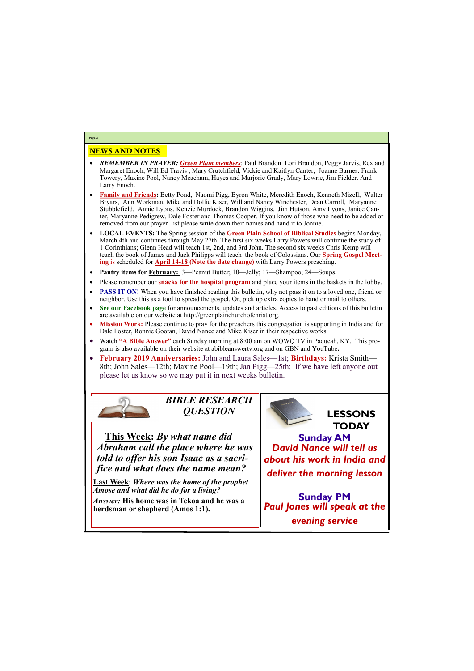# NEWS AND NOTES

- *REMEMBER IN PRAYER: Green Plain members*: Paul Brandon Lori Brandon, Peggy Jarvis, Rex and Margaret Enoch, Will Ed Travis , Mary Crutchfield, Vickie and Kaitlyn Canter, Joanne Barnes. Frank Towery, Maxine Pool, Nancy Meacham, Hayes and Marjorie Grady, Mary Lowrie, Jim Fielder. And Larry Enoch.
- **Family and Friends:** Betty Pond, Naomi Pigg, Byron White, Meredith Enoch, Kenneth Mizell, Walter Bryars, Ann Workman, Mike and Dollie Kiser, Will and Nancy Winchester, Dean Carroll, Maryanne Stubblefield, Annie Lyons, Kenzie Murdock, Brandon Wiggins, Jim Hutson, Amy Lyons, Janice Canter, Maryanne Pedigrew, Dale Foster and Thomas Cooper. If you know of those who need to be added or removed from our prayer list please write down their names and hand it to Jonnie.
- **LOCAL EVENTS:** The Spring session of the **Green Plain School of Biblical Studies** begins Monday, March 4th and continues through May 27th. The first six weeks Larry Powers will continue the study of 1 Corinthians; Glenn Head will teach 1st, 2nd, and 3rd John. The second six weeks Chris Kemp will teach the book of James and Jack Philipps will teach the book of Colossians. Our **Spring Gospel Meeting** is scheduled for **April 14-18 (Note the date change)** with Larry Powers preaching.
- **Pantry items for February:** 3—Peanut Butter; 10—Jelly; 17—Shampoo; 24—Soups.
- Please remember our **snacks for the hospital program** and place your items in the baskets in the lobby.
- **PASS IT ON!** When you have finished reading this bulletin, why not pass it on to a loved one, friend or neighbor. Use this as a tool to spread the gospel. Or, pick up extra copies to hand or mail to others.
- **See our Facebook page** for announcements, updates and articles. Access to past editions of this bulletin are available on our website at http://greenplainchurchofchrist.org.
- **Mission Work:** Please continue to pray for the preachers this congregation is supporting in India and for Dale Foster, Ronnie Gootan, David Nance and Mike Kiser in their respective works.
- Watch **"A Bible Answer"** each Sunday morning at 8:00 am on WQWQ TV in Paducah, KY. This program is also available on their website at abibleanswertv.org and on GBN and YouTube**.**
- **February 2019 Anniversaries:** John and Laura Sales—1st; **Birthdays:** Krista Smith— 8th; John Sales—12th; Maxine Pool—19th; Jan Pigg—25th; If we have left anyone out please let us know so we may put it in next weeks bulletin.



**Page 2**

*BIBLE RESEARCH QUESTION*

**This Week:** *By what name did Abraham call the place where he was told to offer his son Isaac as a sacrifice and what does the name mean?*

**Last Week**: *Where was the home of the prophet Amose and what did he do for a living?*

*Answer:* **His home was in Tekoa and he was a** 



| $\mu$ <i>linswer</i> . This home was in Teroa and he was a<br>herdsman or shepherd (Amos 1:1). | $\parallel$ Paul Jones will speak at the |
|------------------------------------------------------------------------------------------------|------------------------------------------|
|                                                                                                | evening service                          |

**Sunday PM**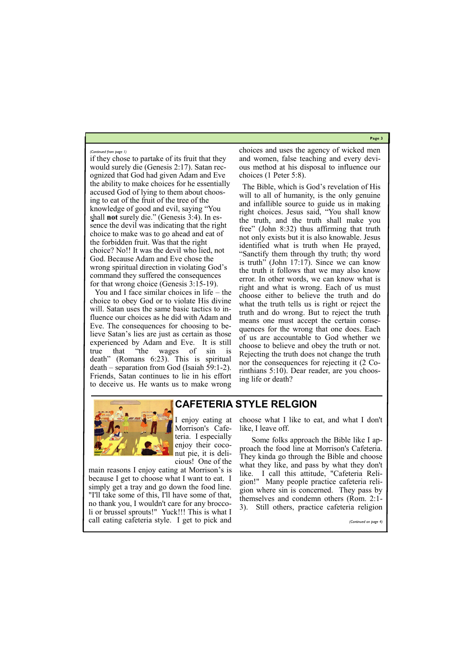**Page 3**

if they chose to partake of its fruit that they would surely die (Genesis 2:17). Satan recognized that God had given Adam and Eve the ability to make choices for he essentially accused God of lying to them about choosing to eat of the fruit of the tree of the knowledge of good and evil, saying "You shall **not** surely die." (Genesis 3:4). In essence the devil was indicating that the right choice to make was to go ahead and eat of the forbidden fruit. Was that the right choice? No!! It was the devil who lied, not God. Because Adam and Eve chose the wrong spiritual direction in violating God's command they suffered the consequences for that wrong choice (Genesis 3:15-19).

You and I face similar choices in life – the choice to obey God or to violate His divine will. Satan uses the same basic tactics to influence our choices as he did with Adam and Eve. The consequences for choosing to believe Satan's lies are just as certain as those experienced by Adam and Eve. It is still true that "the wages of sin is death" (Romans 6:23). This is spiritual death – separation from God (Isaiah 59:1-2). Friends, Satan continues to lie in his effort to deceive us. He wants us to make wrong

choices and uses the agency of wicked men and women, false teaching and every devious method at his disposal to influence our choices (1 Peter 5:8).

The Bible, which is God's revelation of His will to all of humanity, is the only genuine and infallible source to guide us in making right choices. Jesus said, "You shall know the truth, and the truth shall make you free" (John 8:32) thus affirming that truth not only exists but it is also knowable. Jesus identified what is truth when He prayed, "Sanctify them through thy truth; thy word is truth" (John 17:17). Since we can know the truth it follows that we may also know error. In other words, we can know what is right and what is wrong. Each of us must choose either to believe the truth and do what the truth tells us is right or reject the truth and do wrong. But to reject the truth means one must accept the certain consequences for the wrong that one does. Each of us are accountable to God whether we choose to believe and obey the truth or not. Rejecting the truth does not change the truth nor the consequences for rejecting it (2 Corinthians 5:10). Dear reader, are you choosing life or death?



#### *(Continued from page 1)*

**CAFETERIA STYLE RELGION**

I enjoy eating at Morrison's Cafeteria. I especially enjoy their coconut pie, it is delicious! One of the

choose what I like to eat, and what I don't like, I leave off.

main reasons I enjoy eating at Morrison's is because I get to choose what I want to eat. I simply get a tray and go down the food line. "I'll take some of this, I'll have some of that, no thank you, I wouldn't care for any broccoli or brussel sprouts!" Yuck!!! This is what I call eating cafeteria style. I get to pick and like. I call this attitude, "Cafeteria Religion!" Many people practice cafeteria religion where sin is concerned. They pass by themselves and condemn others (Rom. 2:1- 3). Still others, practice cafeteria religion *(Continued on page 4)*

Some folks approach the Bible like I approach the food line at Morrison's Cafeteria. They kinda go through the Bible and choose what they like, and pass by what they don't